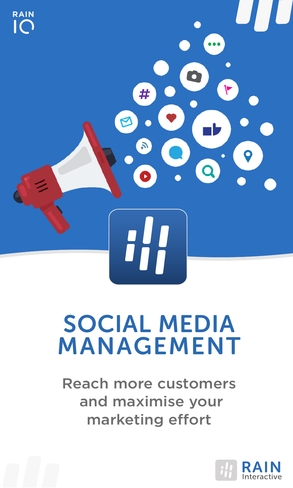

### SOCIAL MEDIA MANAGEMENT

Reach more customers and maximise your marketing effort

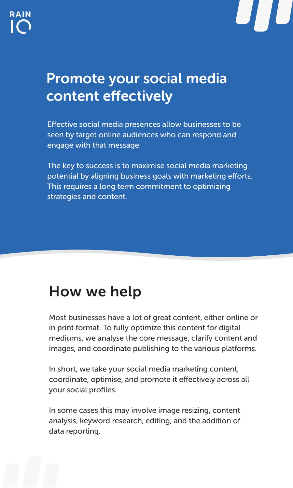

#### Promote your social media content effectively

Effective social media presences allow businesses to be seen by target online audiences who can respond and engage with that message.

The key to success is to maximise social media marketing potential by aligning business goals with marketing efforts. This requires a long term commitment to optimizing strategies and content.

#### How we help

Most businesses have a lot of great content, either online or in print format. To fully optimize this content for digital mediums, we analyse the core message, clarify content and images, and coordinate publishing to the various platforms.

In short, we take your social media marketing content, coordinate, optimise, and promote it effectively across all your social profiles.

In some cases this may involve image resizing, content analysis, keyword research, editing, and the addition of data reporting.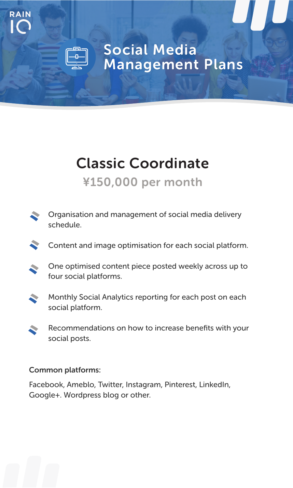#### Social Media Management Plans

#### Classic Coordinate ¥150,000 per month

- Organisation and management of social media delivery schedule.
- Content and image optimisation for each social platform.
- One optimised content piece posted weekly across up to four social platforms.
- Monthly Social Analytics reporting for each post on each  $\blacktriangleright$ social platform.
- Recommendations on how to increase benefits with your **C** social posts.

#### Common platforms:

**RAIN**

Facebook, Ameblo, Twitter, Instagram, Pinterest, LinkedIn, Google+. Wordpress blog or other.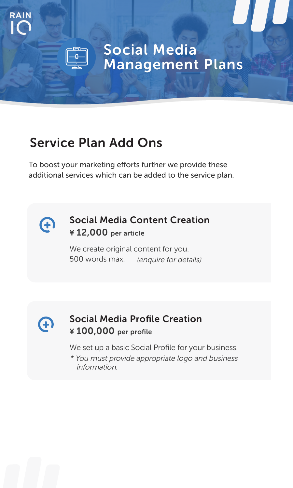#### Social Media Management Plans

#### Service Plan Add Ons

To boost your marketing efforts further we provide these additional services which can be added to the service plan.



**RAIN**

#### Social Media Content Creation ¥ 12,000 per article

We create original content for you. 500 words max. (enquire for details)



#### Social Media Profile Creation ¥ 100,000 per profile

We set up a basic Social Profile for your business.

\* You must provide appropriate logo and business information.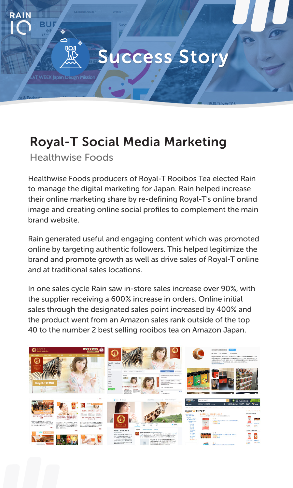# **RAIN** הח Success Story

#### Royal-T Social Media Marketing

Healthwise Foods

Healthwise Foods producers of Royal-T Rooibos Tea elected Rain to manage the digital marketing for Japan. Rain helped increase their online marketing share by re-defining Royal-T's online brand image and creating online social profiles to complement the main brand website.

Rain generated useful and engaging content which was promoted online by targeting authentic followers. This helped legitimize the brand and promote growth as well as drive sales of Royal-T online and at traditional sales locations.

In one sales cycle Rain saw in-store sales increase over 90%, with the supplier receiving a 600% increase in orders. Online initial sales through the designated sales point increased by 400% and the product went from an Amazon sales rank outside of the top 40 to the number 2 best selling rooibos tea on Amazon Japan.